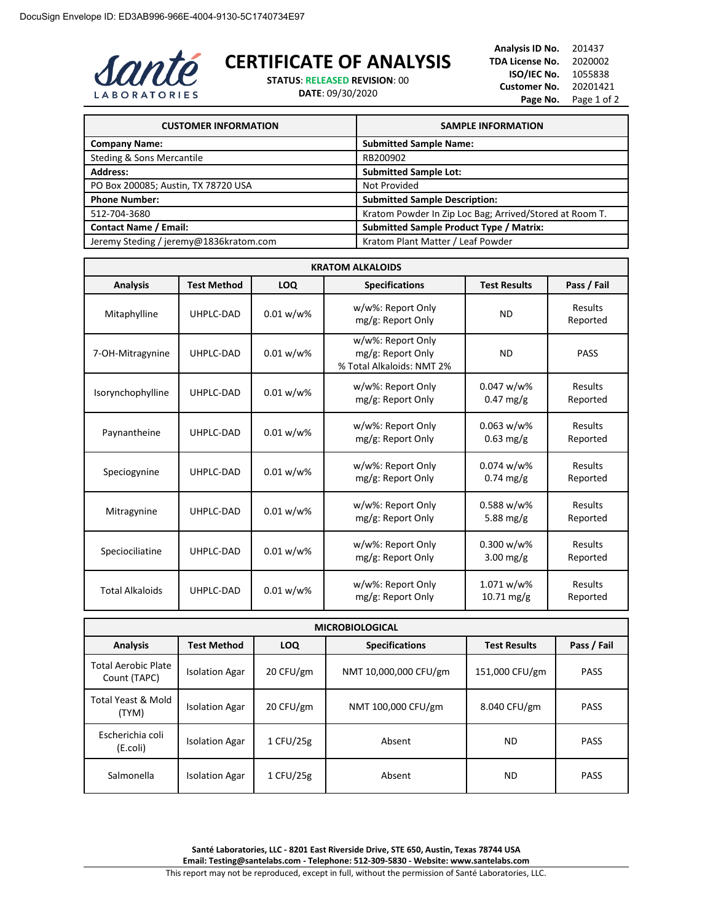

## **CERTIFICATE OF ANALYSIS**

**STATUS**: **RELEASED REVISION**: 00

**DATE**: 09/30/2020

**Analysis ID No.** 201437 **TDA License No.** 2020002 **ISO/IEC No.** 1055838 **Customer No.** 20201421 Page No. Page 1 of 2

| <b>CUSTOMER INFORMATION</b>            | <b>SAMPLE INFORMATION</b>                               |
|----------------------------------------|---------------------------------------------------------|
| <b>Company Name:</b>                   | <b>Submitted Sample Name:</b>                           |
| Steding & Sons Mercantile              | RB200902                                                |
| <b>Address:</b>                        | <b>Submitted Sample Lot:</b>                            |
| PO Box 200085; Austin, TX 78720 USA    | Not Provided                                            |
| <b>Phone Number:</b>                   | <b>Submitted Sample Description:</b>                    |
| 512-704-3680                           | Kratom Powder In Zip Loc Bag; Arrived/Stored at Room T. |
| <b>Contact Name / Email:</b>           | <b>Submitted Sample Product Type / Matrix:</b>          |
| Jeremy Steding / jeremy@1836kratom.com | Kratom Plant Matter / Leaf Powder                       |

| <b>KRATOM ALKALOIDS</b> |                    |              |                                                                     |                                       |                     |
|-------------------------|--------------------|--------------|---------------------------------------------------------------------|---------------------------------------|---------------------|
| <b>Analysis</b>         | <b>Test Method</b> | <b>LOQ</b>   | <b>Specifications</b>                                               | <b>Test Results</b>                   | Pass / Fail         |
| Mitaphylline            | UHPLC-DAD          | $0.01 w/w$ % | w/w%: Report Only<br>mg/g: Report Only                              | <b>ND</b>                             | Results<br>Reported |
| 7-OH-Mitragynine        | UHPLC-DAD          | $0.01 w/w$ % | w/w%: Report Only<br>mg/g: Report Only<br>% Total Alkaloids: NMT 2% | <b>ND</b>                             | <b>PASS</b>         |
| Isorynchophylline       | UHPLC-DAD          | $0.01 w/w$ % | w/w%: Report Only<br>mg/g: Report Only                              | $0.047 w/w$ %<br>$0.47$ mg/g          | Results<br>Reported |
| Paynantheine            | UHPLC-DAD          | $0.01 w/w$ % | w/w%: Report Only<br>mg/g: Report Only                              | $0.063 w/w\%$<br>$0.63$ mg/g          | Results<br>Reported |
| Speciogynine            | UHPLC-DAD          | $0.01 w/w$ % | w/w%: Report Only<br>mg/g: Report Only                              | $0.074 w/w$ %<br>$0.74$ mg/g          | Results<br>Reported |
| Mitragynine             | UHPLC-DAD          | $0.01 w/w$ % | w/w%: Report Only<br>mg/g: Report Only                              | $0.588 w/w\%$<br>5.88 mg/g            | Results<br>Reported |
| Speciociliatine         | UHPLC-DAD          | $0.01 w/w$ % | w/w%: Report Only<br>mg/g: Report Only                              | $0.300 w/w$ %<br>$3.00$ mg/g          | Results<br>Reported |
| <b>Total Alkaloids</b>  | UHPLC-DAD          | $0.01 w/w$ % | w/w%: Report Only<br>mg/g: Report Only                              | 1.071 w/w%<br>$10.71 \,\mathrm{mg/g}$ | Results<br>Reported |

| <b>MICROBIOLOGICAL</b>                     |                       |            |                       |                     |             |
|--------------------------------------------|-----------------------|------------|-----------------------|---------------------|-------------|
| <b>Analysis</b>                            | <b>Test Method</b>    | <b>LOQ</b> | <b>Specifications</b> | <b>Test Results</b> | Pass / Fail |
| <b>Total Aerobic Plate</b><br>Count (TAPC) | <b>Isolation Agar</b> | 20 CFU/gm  | NMT 10,000,000 CFU/gm | 151,000 CFU/gm      | <b>PASS</b> |
| Total Yeast & Mold<br>(TYM)                | <b>Isolation Agar</b> | 20 CFU/gm  | NMT 100,000 CFU/gm    | 8.040 CFU/gm        | <b>PASS</b> |
| Escherichia coli<br>(E.coli)               | <b>Isolation Agar</b> | 1 CFU/25g  | Absent                | <b>ND</b>           | <b>PASS</b> |
| Salmonella                                 | <b>Isolation Agar</b> | 1 CFU/25g  | Absent                | <b>ND</b>           | <b>PASS</b> |

**Santé Laboratories, LLC - 8201 East Riverside Drive, STE 650, Austin, Texas 78744 USA Email: Testing@santelabs.com - Telephone: 512-309-5830 - Website: www.santelabs.com** This report may not be reproduced, except in full, without the permission of Santé Laboratories, LLC.